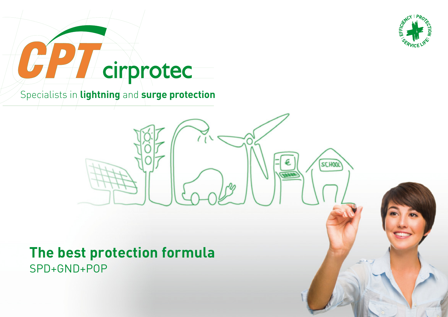

**SCHOOL** 

# cirprotec

Specialists in **lightning** and **surge protection**

## **The best protection formula**  SPD+GND+POP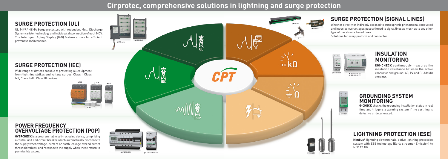# **Cirprotec, comprehensive solutions in lightning and surge protection**

CPT

|赛



 $\rightarrow$  ISO-CHECK PV

#### **SURGE PROTECTION (UL)**

UL 1449 / NEMA Surge protectors with redundant Multi Discharge System varistor technology and individual disconnection of each MOV. The Intelligent Aging Display (IAD) feature allows for efficient preventive maintenance.

### **SURGE PROTECTION (IEC)**

Wide range of devices capable of protecting all equipment from lightning strikes and voltage surges. Class I, Class I+II, Class II+III, Class III devices.

**ISO-CHECK** continuously measures the insulation resistance between the active conductor and ground. AC, PV and CHAdeMO versions.

## **SURGE PROTECTION (SIGNAL LINES)**

Whether directly or indirectly exposed to atmospheric phenomena, conducted and inducted overvoltages pose a thread to signal lines as much as to any other type of metal-wire based lines.

Solutions for every protocol and connector.

#### **INSULATION MONITORING**

## **LIGHTNING PROTECTION (ESE)**

**Nimbus®** lightning air terminals, active lightning protection system with ESE technology (Early streamer Emission) to NFC 17 102.

#### **GROUNDING SYSTEM MONITORING**

**G-CHECK** checks the grounding installation status in real time and triggers a warning system if the earthing is defective or deteriorated.







#### **POWER FREQUENCY OVERVOLTAGE PROTECTION (POP)**

**OVERCHECK** is a programmable self-reclosing device, comprising a control unit and circuit breaker which automatically disconnects the supply when voltage, current or earth leakage exceed preset threshold values, and reconnects the supply when these return to permissible values.



 $\rightarrow$  CPS nano

 $\frac{1}{100}$ 

 $\bullet$ 

 $\rightarrow$  CPS block

. . . .

00 ...

→ OVERCHECK → V-CHECK MPT min